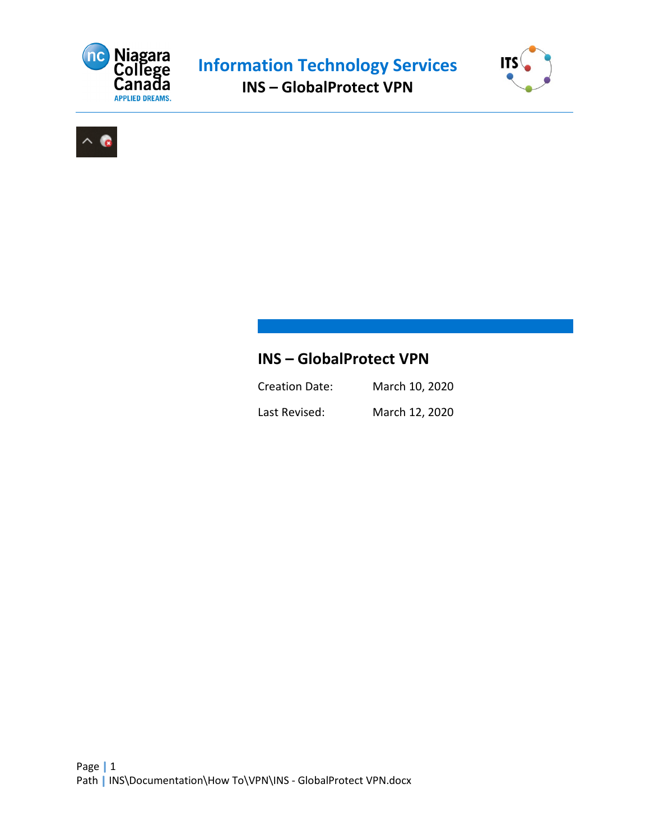





# **INS – GlobalProtect VPN**

| <b>Creation Date:</b> | March 10, 2020 |
|-----------------------|----------------|
| Last Revised:         | March 12, 2020 |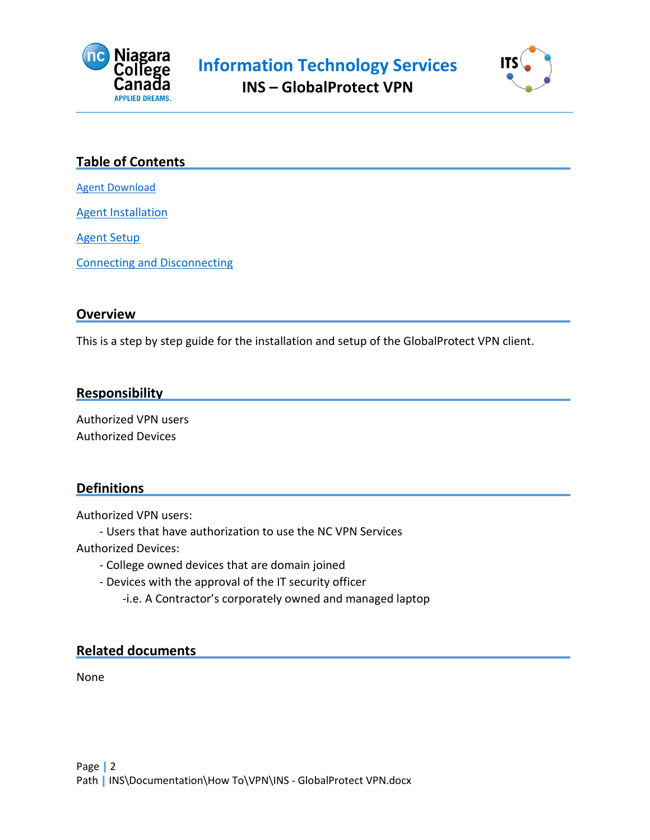



### **Table of Contents**

[Agent Download](#page-2-0)

[Agent Installation](#page-3-0)

[Agent Setup](#page-5-0)

[Connecting and Disconnecting](#page-7-0)

#### **Overview**

This is a step by step guide for the installation and setup of the GlobalProtect VPN client.

#### **Responsibility**

Authorized VPN users Authorized Devices

#### **Definitions**

Authorized VPN users:

- Users that have authorization to use the NC VPN Services

Authorized Devices:

- College owned devices that are domain joined
- Devices with the approval of the IT security officer
	- -i.e. A Contractor's corporately owned and managed laptop

#### **Related documents**

None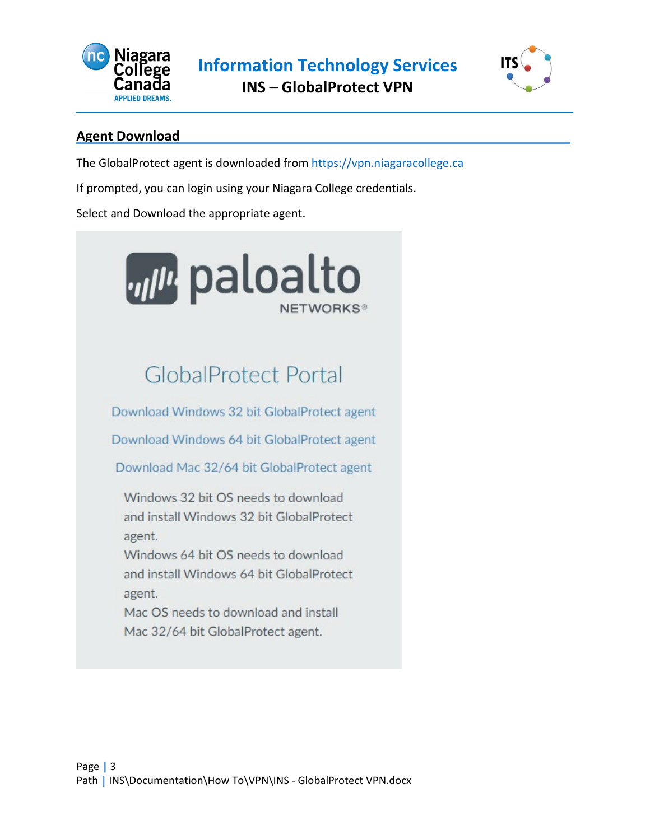



## <span id="page-2-0"></span>**Agent Download**

The GlobalProtect agent is downloaded from [https://vpn.niagaracollege.ca](https://vpn.niagaracollege.ca/)

If prompted, you can login using your Niagara College credentials.

Select and Download the appropriate agent.

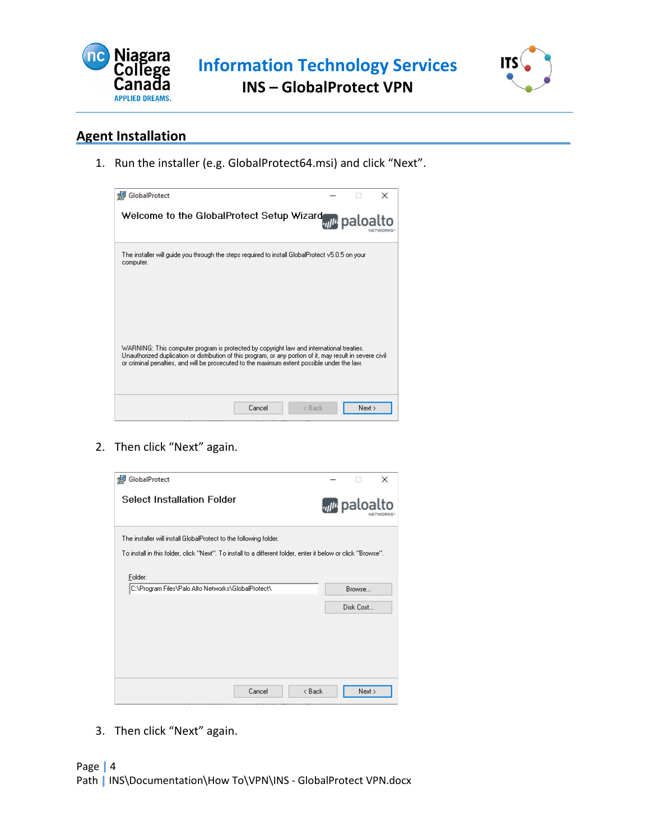



## <span id="page-3-0"></span>**Agent Installation**

1. Run the installer (e.g. GlobalProtect64.msi) and click "Next".



2. Then click "Next" again.



3. Then click "Next" again.

## Page | 4

Path | INS\Documentation\How To\VPN\INS - GlobalProtect VPN.docx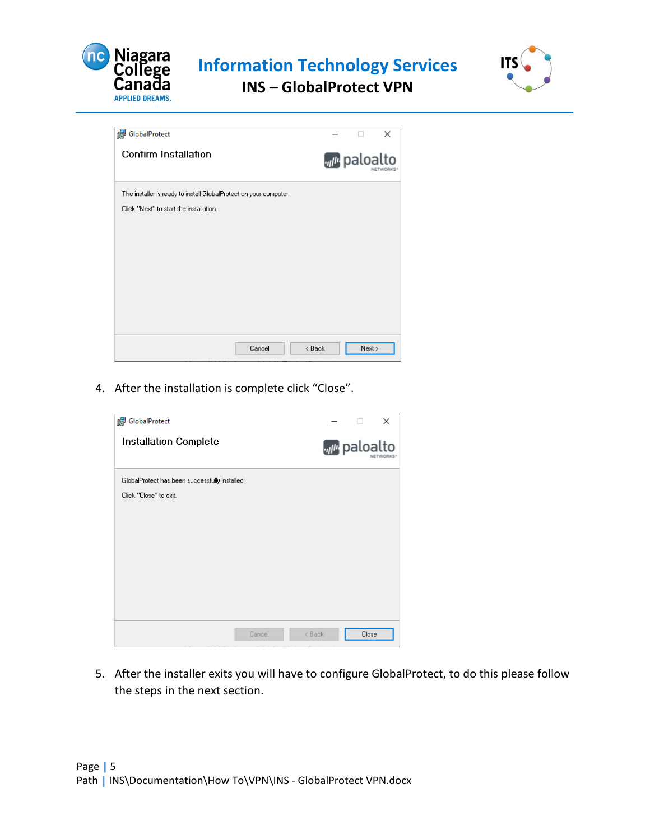

**Information Technology Services INS – GlobalProtect VPN**



GlobalProtect  $\times$  $\Box$ **Confirm Installation** *n* paloalto The installer is ready to install GlobalProtect on your computer. Click "Next" to start the installation.  $Cancel$  $\triangleleft$  Back  $Next >$ 

4. After the installation is complete click "Close".

| GlobalProtect                                  |  |       | ×                                                |
|------------------------------------------------|--|-------|--------------------------------------------------|
| <b>Installation Complete</b>                   |  |       | <b><i><sub>ul<sup>u</sup></sub></i></b> paloalto |
| GlobalProtect has been successfully installed. |  |       |                                                  |
| Click "Close" to exit.                         |  |       |                                                  |
|                                                |  |       |                                                  |
|                                                |  |       |                                                  |
|                                                |  |       |                                                  |
|                                                |  |       |                                                  |
|                                                |  |       |                                                  |
|                                                |  |       |                                                  |
|                                                |  |       |                                                  |
| < Back<br>Cancel                               |  | Close |                                                  |

5. After the installer exits you will have to configure GlobalProtect, to do this please follow the steps in the next section.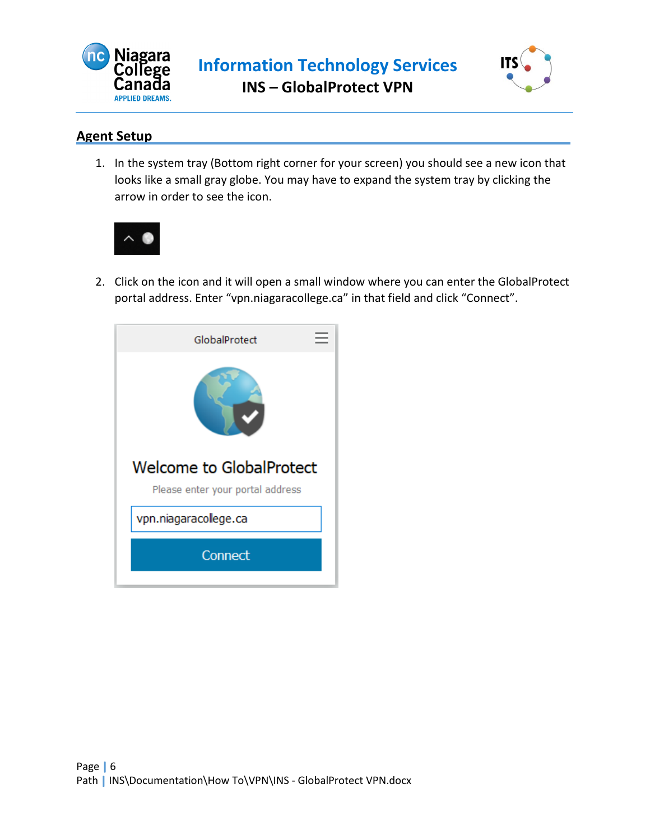



## <span id="page-5-0"></span>**Agent Setup**

1. In the system tray (Bottom right corner for your screen) you should see a new icon that looks like a small gray globe. You may have to expand the system tray by clicking the arrow in order to see the icon.



2. Click on the icon and it will open a small window where you can enter the GlobalProtect portal address. Enter "vpn.niagaracollege.ca" in that field and click "Connect".

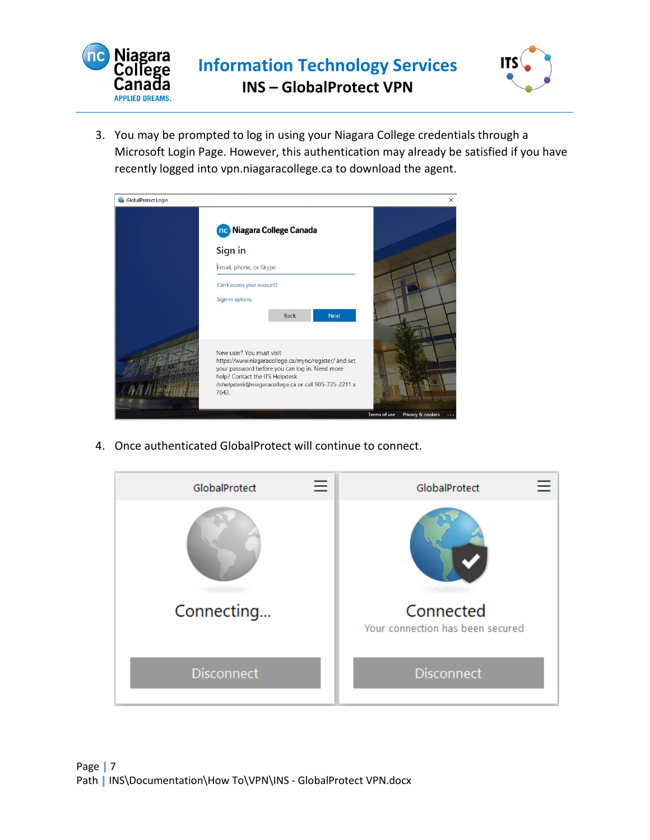



3. You may be prompted to log in using your Niagara College credentials through a Microsoft Login Page. However, this authentication may already be satisfied if you have recently logged into vpn.niagaracollege.ca to download the agent.

| GlobalProtect Login |                                                                                                                                                                                                                                       | $\times$                          |
|---------------------|---------------------------------------------------------------------------------------------------------------------------------------------------------------------------------------------------------------------------------------|-----------------------------------|
|                     | no Niagara College Canada                                                                                                                                                                                                             |                                   |
|                     | Sign in                                                                                                                                                                                                                               |                                   |
|                     | Email, phone, or Skype                                                                                                                                                                                                                |                                   |
|                     | Can't access your account?                                                                                                                                                                                                            |                                   |
|                     | Sign-in options                                                                                                                                                                                                                       |                                   |
|                     | <b>Back</b><br><b>Next</b>                                                                                                                                                                                                            |                                   |
|                     | New user? You must visit<br>https://www.niagaracollege.ca/mync/register/ and set<br>your password before you can log in. Need more<br>help? Contact the ITS Helpdesk<br>itshelpdesk@niagaracollege.ca or call 905-735-2211 x<br>7642. |                                   |
|                     |                                                                                                                                                                                                                                       | Terms of use<br>Privacy & cookies |

4. Once authenticated GlobalProtect will continue to connect.